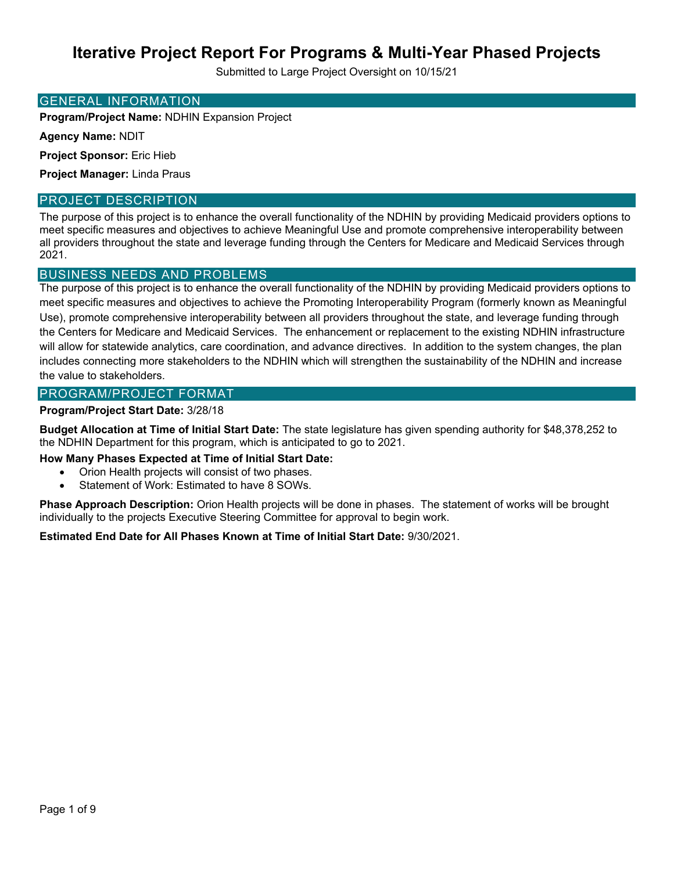Submitted to Large Project Oversight on 10/15/21

#### GENERAL INFORMATION

**Program/Project Name:** NDHIN Expansion Project

**Agency Name:** NDIT

**Project Sponsor:** Eric Hieb

**Project Manager:** Linda Praus

### PROJECT DESCRIPTION

The purpose of this project is to enhance the overall functionality of the NDHIN by providing Medicaid providers options to meet specific measures and objectives to achieve Meaningful Use and promote comprehensive interoperability between all providers throughout the state and leverage funding through the Centers for Medicare and Medicaid Services through 2021.

## BUSINESS NEEDS AND PROBLEMS

The purpose of this project is to enhance the overall functionality of the NDHIN by providing Medicaid providers options to meet specific measures and objectives to achieve the Promoting Interoperability Program (formerly known as Meaningful Use), promote comprehensive interoperability between all providers throughout the state, and leverage funding through the Centers for Medicare and Medicaid Services. The enhancement or replacement to the existing NDHIN infrastructure will allow for statewide analytics, care coordination, and advance directives. In addition to the system changes, the plan includes connecting more stakeholders to the NDHIN which will strengthen the sustainability of the NDHIN and increase the value to stakeholders.

### PROGRAM/PROJECT FORMAT

### **Program/Project Start Date:** 3/28/18

**Budget Allocation at Time of Initial Start Date:** The state legislature has given spending authority for \$48,378,252 to the NDHIN Department for this program, which is anticipated to go to 2021.

**How Many Phases Expected at Time of Initial Start Date:** 

- Orion Health projects will consist of two phases.
- Statement of Work: Estimated to have 8 SOWs.

**Phase Approach Description:** Orion Health projects will be done in phases. The statement of works will be brought individually to the projects Executive Steering Committee for approval to begin work.

**Estimated End Date for All Phases Known at Time of Initial Start Date:** 9/30/2021.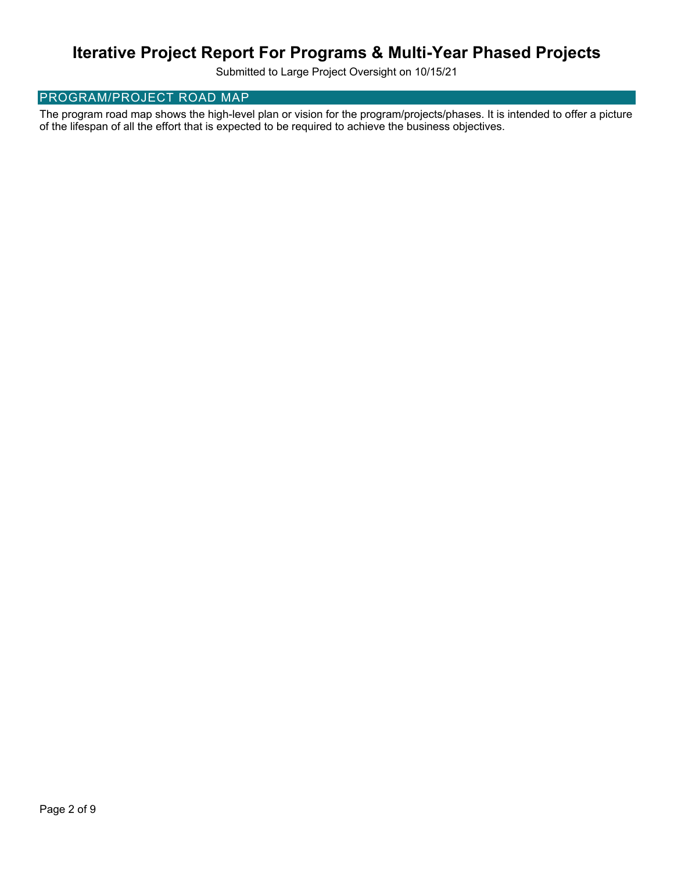Submitted to Large Project Oversight on 10/15/21

## PROGRAM/PROJECT ROAD MAP

The program road map shows the high-level plan or vision for the program/projects/phases. It is intended to offer a picture of the lifespan of all the effort that is expected to be required to achieve the business objectives.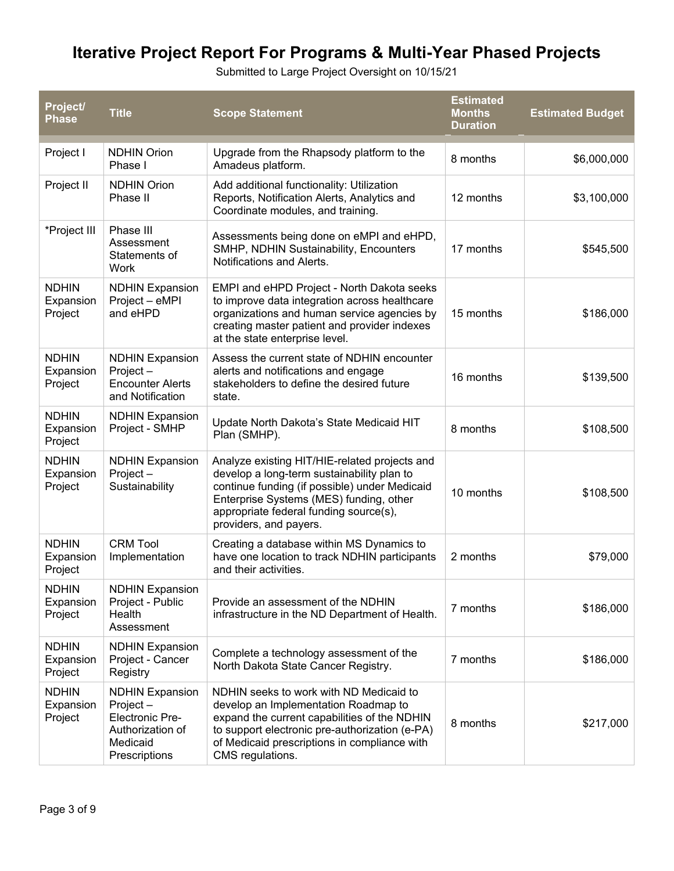Submitted to Large Project Oversight on 10/15/21

| Project/<br><b>Phase</b>             | <b>Title</b>                                                                                                  | <b>Scope Statement</b>                                                                                                                                                                                                                                      | <b>Estimated</b><br><b>Months</b><br><b>Duration</b> | <b>Estimated Budget</b> |
|--------------------------------------|---------------------------------------------------------------------------------------------------------------|-------------------------------------------------------------------------------------------------------------------------------------------------------------------------------------------------------------------------------------------------------------|------------------------------------------------------|-------------------------|
| Project I                            | <b>NDHIN Orion</b><br>Phase I                                                                                 | Upgrade from the Rhapsody platform to the<br>Amadeus platform.                                                                                                                                                                                              | 8 months                                             | \$6,000,000             |
| Project II                           | <b>NDHIN Orion</b><br>Phase II                                                                                | Add additional functionality: Utilization<br>Reports, Notification Alerts, Analytics and<br>Coordinate modules, and training.                                                                                                                               | 12 months                                            | \$3,100,000             |
| *Project III                         | Phase III<br>Assessment<br>Statements of<br><b>Work</b>                                                       | Assessments being done on eMPI and eHPD,<br>SMHP, NDHIN Sustainability, Encounters<br>Notifications and Alerts.                                                                                                                                             | 17 months                                            | \$545,500               |
| <b>NDHIN</b><br>Expansion<br>Project | <b>NDHIN Expansion</b><br>Project - eMPI<br>and eHPD                                                          | EMPI and eHPD Project - North Dakota seeks<br>to improve data integration across healthcare<br>organizations and human service agencies by<br>creating master patient and provider indexes<br>at the state enterprise level.                                | 15 months                                            | \$186,000               |
| <b>NDHIN</b><br>Expansion<br>Project | <b>NDHIN Expansion</b><br>Project-<br><b>Encounter Alerts</b><br>and Notification                             | Assess the current state of NDHIN encounter<br>alerts and notifications and engage<br>stakeholders to define the desired future<br>state.                                                                                                                   | 16 months                                            | \$139,500               |
| <b>NDHIN</b><br>Expansion<br>Project | <b>NDHIN Expansion</b><br>Project - SMHP                                                                      | Update North Dakota's State Medicaid HIT<br>Plan (SMHP).                                                                                                                                                                                                    | 8 months                                             | \$108,500               |
| <b>NDHIN</b><br>Expansion<br>Project | <b>NDHIN Expansion</b><br>Project-<br>Sustainability                                                          | Analyze existing HIT/HIE-related projects and<br>develop a long-term sustainability plan to<br>continue funding (if possible) under Medicaid<br>Enterprise Systems (MES) funding, other<br>appropriate federal funding source(s),<br>providers, and payers. | 10 months                                            | \$108,500               |
| <b>NDHIN</b><br>Expansion<br>Project | <b>CRM Tool</b><br>Implementation                                                                             | Creating a database within MS Dynamics to<br>have one location to track NDHIN participants<br>and their activities.                                                                                                                                         | 2 months                                             | \$79,000                |
| <b>NDHIN</b><br>Expansion<br>Project | <b>NDHIN Expansion</b><br>Project - Public<br>Health<br>Assessment                                            | Provide an assessment of the NDHIN<br>infrastructure in the ND Department of Health.                                                                                                                                                                        | 7 months                                             | \$186,000               |
| <b>NDHIN</b><br>Expansion<br>Project | <b>NDHIN Expansion</b><br>Project - Cancer<br>Registry                                                        | Complete a technology assessment of the<br>North Dakota State Cancer Registry.                                                                                                                                                                              | 7 months                                             | \$186,000               |
| <b>NDHIN</b><br>Expansion<br>Project | <b>NDHIN Expansion</b><br>Project-<br><b>Electronic Pre-</b><br>Authorization of<br>Medicaid<br>Prescriptions | NDHIN seeks to work with ND Medicaid to<br>develop an Implementation Roadmap to<br>expand the current capabilities of the NDHIN<br>to support electronic pre-authorization (e-PA)<br>of Medicaid prescriptions in compliance with<br>CMS regulations.       | 8 months                                             | \$217,000               |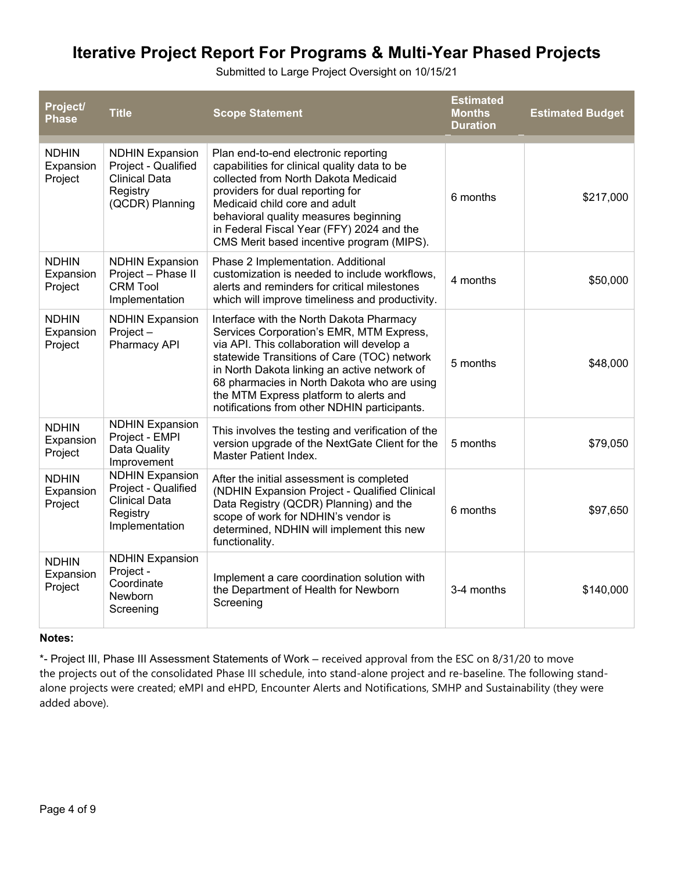Submitted to Large Project Oversight on 10/15/21

| Project/<br><b>Phase</b>             | <b>Title</b>                                                                                         | <b>Scope Statement</b>                                                                                                                                                                                                                                                                                                                                                     | <b>Estimated</b><br><b>Months</b><br><b>Duration</b> | <b>Estimated Budget</b> |
|--------------------------------------|------------------------------------------------------------------------------------------------------|----------------------------------------------------------------------------------------------------------------------------------------------------------------------------------------------------------------------------------------------------------------------------------------------------------------------------------------------------------------------------|------------------------------------------------------|-------------------------|
| <b>NDHIN</b><br>Expansion<br>Project | <b>NDHIN Expansion</b><br>Project - Qualified<br><b>Clinical Data</b><br>Registry<br>(QCDR) Planning | Plan end-to-end electronic reporting<br>capabilities for clinical quality data to be<br>collected from North Dakota Medicaid<br>providers for dual reporting for<br>Medicaid child core and adult<br>behavioral quality measures beginning<br>in Federal Fiscal Year (FFY) 2024 and the<br>CMS Merit based incentive program (MIPS).                                       | 6 months                                             | \$217,000               |
| <b>NDHIN</b><br>Expansion<br>Project | <b>NDHIN Expansion</b><br>Project - Phase II<br><b>CRM Tool</b><br>Implementation                    | Phase 2 Implementation. Additional<br>customization is needed to include workflows,<br>alerts and reminders for critical milestones<br>which will improve timeliness and productivity.                                                                                                                                                                                     | 4 months                                             | \$50,000                |
| <b>NDHIN</b><br>Expansion<br>Project | <b>NDHIN Expansion</b><br>Project-<br>Pharmacy API                                                   | Interface with the North Dakota Pharmacy<br>Services Corporation's EMR, MTM Express,<br>via API. This collaboration will develop a<br>statewide Transitions of Care (TOC) network<br>in North Dakota linking an active network of<br>68 pharmacies in North Dakota who are using<br>the MTM Express platform to alerts and<br>notifications from other NDHIN participants. | 5 months                                             | \$48,000                |
| <b>NDHIN</b><br>Expansion<br>Project | <b>NDHIN Expansion</b><br>Project - EMPI<br>Data Quality<br>Improvement                              | This involves the testing and verification of the<br>version upgrade of the NextGate Client for the<br>Master Patient Index.                                                                                                                                                                                                                                               | 5 months                                             | \$79,050                |
| <b>NDHIN</b><br>Expansion<br>Project | <b>NDHIN Expansion</b><br>Project - Qualified<br><b>Clinical Data</b><br>Registry<br>Implementation  | After the initial assessment is completed<br>(NDHIN Expansion Project - Qualified Clinical<br>Data Registry (QCDR) Planning) and the<br>scope of work for NDHIN's vendor is<br>determined, NDHIN will implement this new<br>functionality.                                                                                                                                 | 6 months                                             | \$97,650                |
| <b>NDHIN</b><br>Expansion<br>Project | <b>NDHIN Expansion</b><br>Project -<br>Coordinate<br>Newborn<br>Screening                            | Implement a care coordination solution with<br>the Department of Health for Newborn<br>Screening                                                                                                                                                                                                                                                                           | 3-4 months                                           | \$140,000               |

### **Notes:**

\*- Project III, Phase III Assessment Statements of Work – received approval from the ESC on 8/31/20 to move the projects out of the consolidated Phase III schedule, into stand-alone project and re-baseline. The following standalone projects were created; eMPI and eHPD, Encounter Alerts and Notifications, SMHP and Sustainability (they were added above).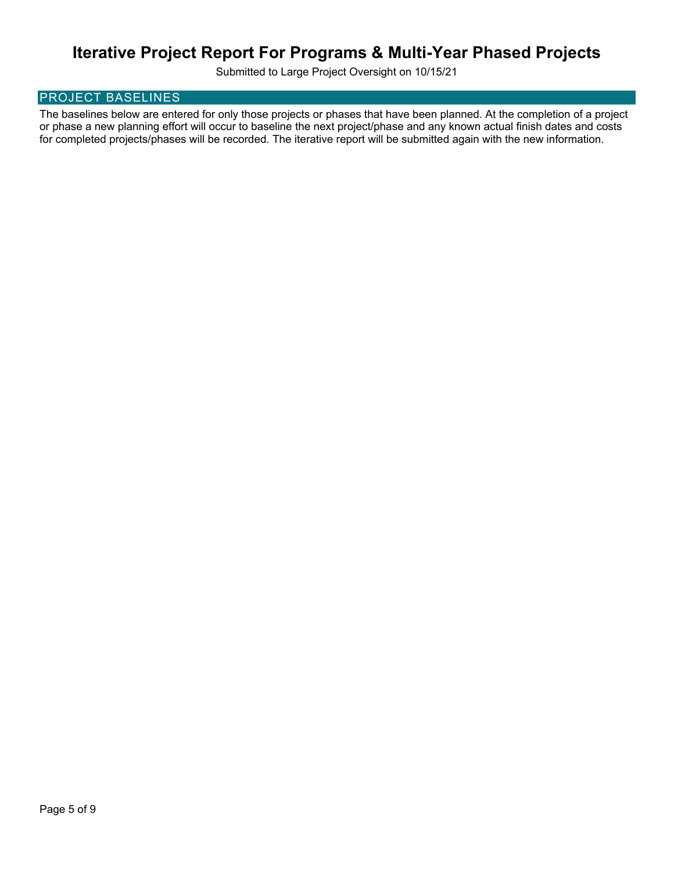Submitted to Large Project Oversight on 10/15/21

## PROJECT BASELINES

The baselines below are entered for only those projects or phases that have been planned. At the completion of a project or phase a new planning effort will occur to baseline the next project/phase and any known actual finish dates and costs for completed projects/phases will be recorded. The iterative report will be submitted again with the new information.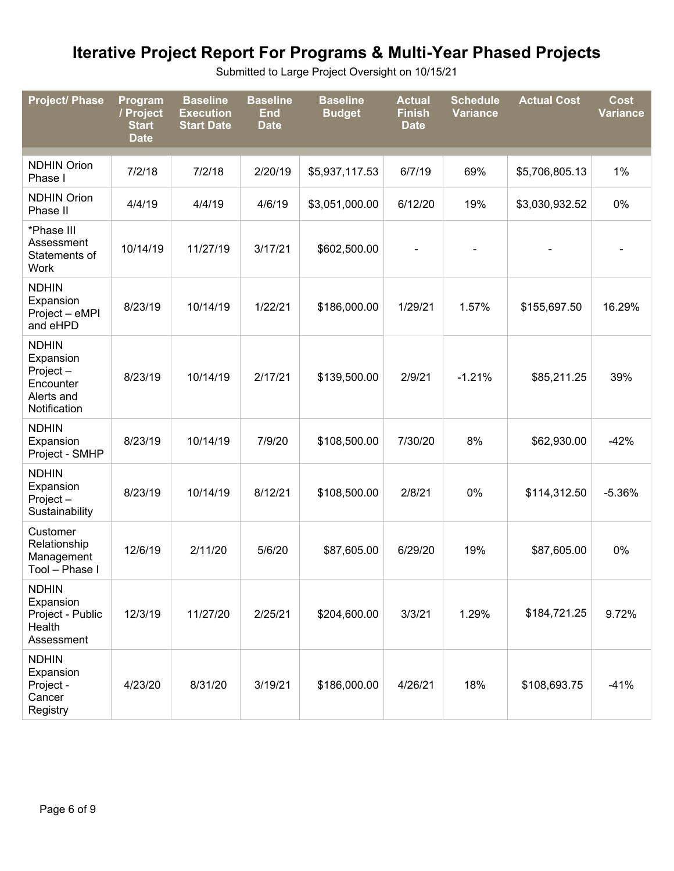Submitted to Large Project Oversight on 10/15/21

| <b>Project/ Phase</b>                                                            | Program<br>/ Project<br><b>Start</b><br><b>Date</b> | <b>Baseline</b><br><b>Execution</b><br><b>Start Date</b> | <b>Baseline</b><br><b>End</b><br><b>Date</b> | <b>Baseline</b><br><b>Budget</b> | <b>Actual</b><br><b>Finish</b><br><b>Date</b> | <b>Schedule</b><br><b>Variance</b> | <b>Actual Cost</b> | <b>Cost</b><br><b>Variance</b> |
|----------------------------------------------------------------------------------|-----------------------------------------------------|----------------------------------------------------------|----------------------------------------------|----------------------------------|-----------------------------------------------|------------------------------------|--------------------|--------------------------------|
| <b>NDHIN Orion</b><br>Phase I                                                    | 7/2/18                                              | 7/2/18                                                   | 2/20/19                                      | \$5,937,117.53                   | 6/7/19                                        | 69%                                | \$5,706,805.13     | 1%                             |
| <b>NDHIN Orion</b><br>Phase II                                                   | 4/4/19                                              | 4/4/19                                                   | 4/6/19                                       | \$3,051,000.00                   | 6/12/20                                       | 19%                                | \$3,030,932.52     | 0%                             |
| *Phase III<br>Assessment<br>Statements of<br>Work                                | 10/14/19                                            | 11/27/19                                                 | 3/17/21                                      | \$602,500.00                     |                                               |                                    |                    |                                |
| <b>NDHIN</b><br>Expansion<br>Project - eMPI<br>and eHPD                          | 8/23/19                                             | 10/14/19                                                 | 1/22/21                                      | \$186,000.00                     | 1/29/21                                       | 1.57%                              | \$155,697.50       | 16.29%                         |
| <b>NDHIN</b><br>Expansion<br>Project-<br>Encounter<br>Alerts and<br>Notification | 8/23/19                                             | 10/14/19                                                 | 2/17/21                                      | \$139,500.00                     | 2/9/21                                        | $-1.21%$                           | \$85,211.25        | 39%                            |
| <b>NDHIN</b><br>Expansion<br>Project - SMHP                                      | 8/23/19                                             | 10/14/19                                                 | 7/9/20                                       | \$108,500.00                     | 7/30/20                                       | 8%                                 | \$62,930.00        | $-42%$                         |
| <b>NDHIN</b><br>Expansion<br>Project-<br>Sustainability                          | 8/23/19                                             | 10/14/19                                                 | 8/12/21                                      | \$108,500.00                     | 2/8/21                                        | 0%                                 | \$114,312.50       | $-5.36%$                       |
| Customer<br>Relationship<br>Management<br>Tool - Phase I                         | 12/6/19                                             | 2/11/20                                                  | 5/6/20                                       | \$87,605.00                      | 6/29/20                                       | 19%                                | \$87,605.00        | 0%                             |
| <b>NDHIN</b><br>Expansion<br>Project - Public<br>Health<br>Assessment            | 12/3/19                                             | 11/27/20                                                 | 2/25/21                                      | \$204,600.00                     | 3/3/21                                        | 1.29%                              | \$184,721.25       | 9.72%                          |
| <b>NDHIN</b><br>Expansion<br>Project -<br>Cancer<br>Registry                     | 4/23/20                                             | 8/31/20                                                  | 3/19/21                                      | \$186,000.00                     | 4/26/21                                       | 18%                                | \$108,693.75       | $-41%$                         |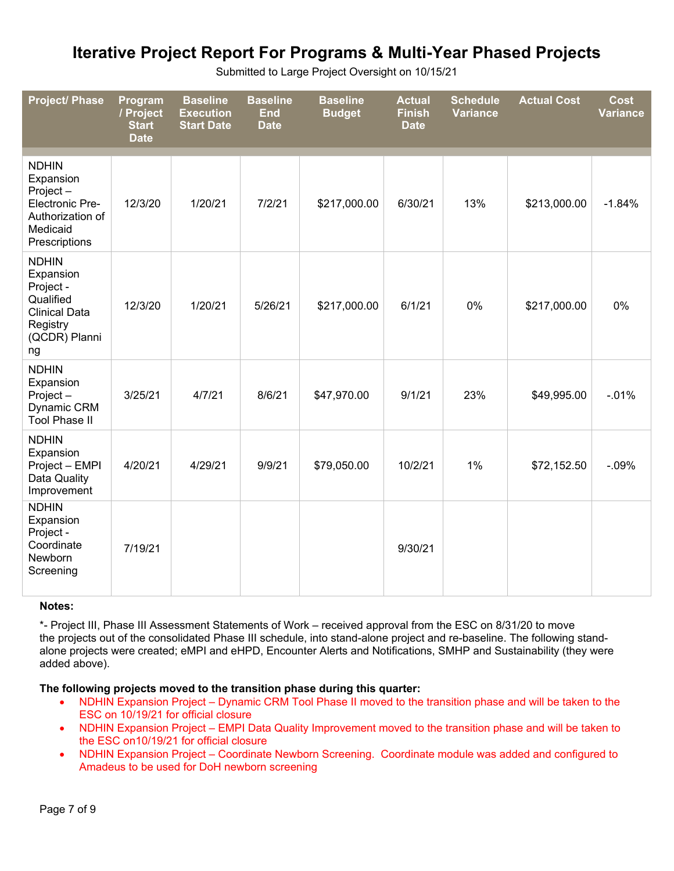| <b>Project/ Phase</b>                                                                                            | Program<br>/ Project<br><b>Start</b><br><b>Date</b> | <b>Baseline</b><br><b>Execution</b><br><b>Start Date</b> | <b>Baseline</b><br><b>End</b><br><b>Date</b> | <b>Baseline</b><br><b>Budget</b> | <b>Actual</b><br><b>Finish</b><br><b>Date</b> | <b>Schedule</b><br><b>Variance</b> | <b>Actual Cost</b> | <b>Cost</b><br>Variance |
|------------------------------------------------------------------------------------------------------------------|-----------------------------------------------------|----------------------------------------------------------|----------------------------------------------|----------------------------------|-----------------------------------------------|------------------------------------|--------------------|-------------------------|
| <b>NDHIN</b><br>Expansion<br>Project-<br><b>Electronic Pre-</b><br>Authorization of<br>Medicaid<br>Prescriptions | 12/3/20                                             | 1/20/21                                                  | 7/2/21                                       | \$217,000.00                     | 6/30/21                                       | 13%                                | \$213,000.00       | $-1.84%$                |
| <b>NDHIN</b><br>Expansion<br>Project -<br>Qualified<br><b>Clinical Data</b><br>Registry<br>(QCDR) Planni<br>ng   | 12/3/20                                             | 1/20/21                                                  | 5/26/21                                      | \$217,000.00                     | 6/1/21                                        | 0%                                 | \$217,000.00       | 0%                      |
| <b>NDHIN</b><br>Expansion<br>Project-<br>Dynamic CRM<br><b>Tool Phase II</b>                                     | 3/25/21                                             | 4/7/21                                                   | 8/6/21                                       | \$47,970.00                      | 9/1/21                                        | 23%                                | \$49,995.00        | $-0.01%$                |
| <b>NDHIN</b><br>Expansion<br>Project - EMPI<br>Data Quality<br>Improvement                                       | 4/20/21                                             | 4/29/21                                                  | 9/9/21                                       | \$79,050.00                      | 10/2/21                                       | 1%                                 | \$72,152.50        | $-0.09%$                |
| <b>NDHIN</b><br>Expansion<br>Project -<br>Coordinate<br>Newborn<br>Screening                                     | 7/19/21                                             |                                                          |                                              |                                  | 9/30/21                                       |                                    |                    |                         |

Submitted to Large Project Oversight on 10/15/21

### **Notes:**

\*- Project III, Phase III Assessment Statements of Work – received approval from the ESC on 8/31/20 to move the projects out of the consolidated Phase III schedule, into stand-alone project and re-baseline. The following standalone projects were created; eMPI and eHPD, Encounter Alerts and Notifications, SMHP and Sustainability (they were added above).

### **The following projects moved to the transition phase during this quarter:**

- NDHIN Expansion Project Dynamic CRM Tool Phase II moved to the transition phase and will be taken to the ESC on 10/19/21 for official closure
- NDHIN Expansion Project EMPI Data Quality Improvement moved to the transition phase and will be taken to the ESC on10/19/21 for official closure
- NDHIN Expansion Project Coordinate Newborn Screening. Coordinate module was added and configured to Amadeus to be used for DoH newborn screening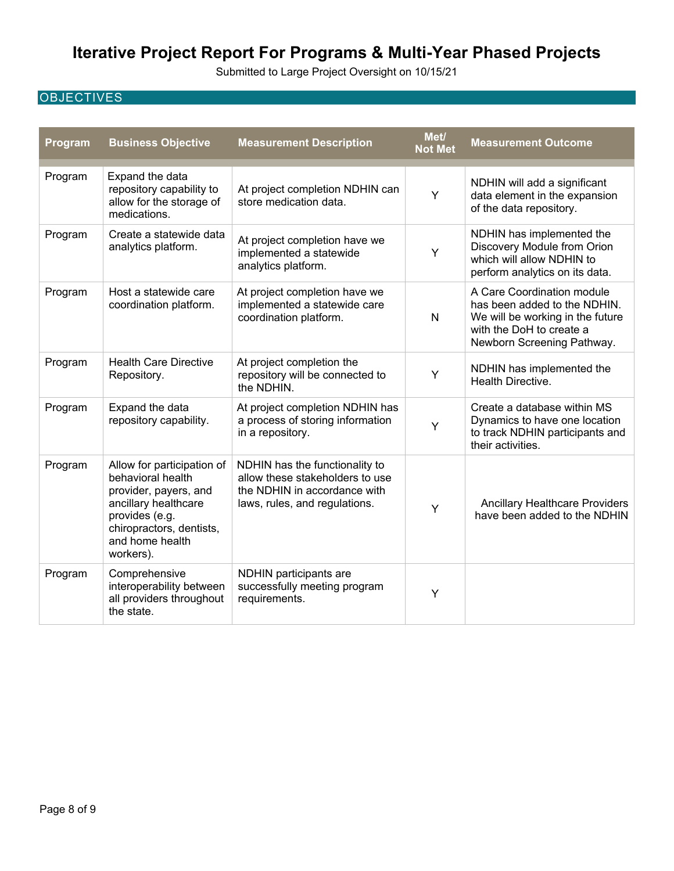Submitted to Large Project Oversight on 10/15/21

## **OBJECTIVES**

| Program | <b>Business Objective</b>                                                                                                                                                      | <b>Measurement Description</b>                                                                                                     | Met/<br><b>Not Met</b> | <b>Measurement Outcome</b>                                                                                                                               |
|---------|--------------------------------------------------------------------------------------------------------------------------------------------------------------------------------|------------------------------------------------------------------------------------------------------------------------------------|------------------------|----------------------------------------------------------------------------------------------------------------------------------------------------------|
| Program | Expand the data<br>repository capability to<br>allow for the storage of<br>medications.                                                                                        | At project completion NDHIN can<br>store medication data.                                                                          | Y                      | NDHIN will add a significant<br>data element in the expansion<br>of the data repository.                                                                 |
| Program | Create a statewide data<br>analytics platform.                                                                                                                                 | At project completion have we<br>implemented a statewide<br>analytics platform.                                                    | Υ                      | NDHIN has implemented the<br>Discovery Module from Orion<br>which will allow NDHIN to<br>perform analytics on its data.                                  |
| Program | Host a statewide care<br>coordination platform.                                                                                                                                | At project completion have we<br>implemented a statewide care<br>coordination platform.                                            | $\mathsf{N}$           | A Care Coordination module<br>has been added to the NDHIN.<br>We will be working in the future<br>with the DoH to create a<br>Newborn Screening Pathway. |
| Program | <b>Health Care Directive</b><br>Repository.                                                                                                                                    | At project completion the<br>repository will be connected to<br>the NDHIN.                                                         | Υ                      | NDHIN has implemented the<br>Health Directive.                                                                                                           |
| Program | Expand the data<br>repository capability.                                                                                                                                      | At project completion NDHIN has<br>a process of storing information<br>in a repository.                                            | Y                      | Create a database within MS<br>Dynamics to have one location<br>to track NDHIN participants and<br>their activities.                                     |
| Program | Allow for participation of<br>behavioral health<br>provider, payers, and<br>ancillary healthcare<br>provides (e.g.<br>chiropractors, dentists,<br>and home health<br>workers). | NDHIN has the functionality to<br>allow these stakeholders to use<br>the NDHIN in accordance with<br>laws, rules, and regulations. | Y                      | <b>Ancillary Healthcare Providers</b><br>have been added to the NDHIN                                                                                    |
| Program | Comprehensive<br>interoperability between<br>all providers throughout<br>the state.                                                                                            | NDHIN participants are<br>successfully meeting program<br>requirements.                                                            | Y                      |                                                                                                                                                          |